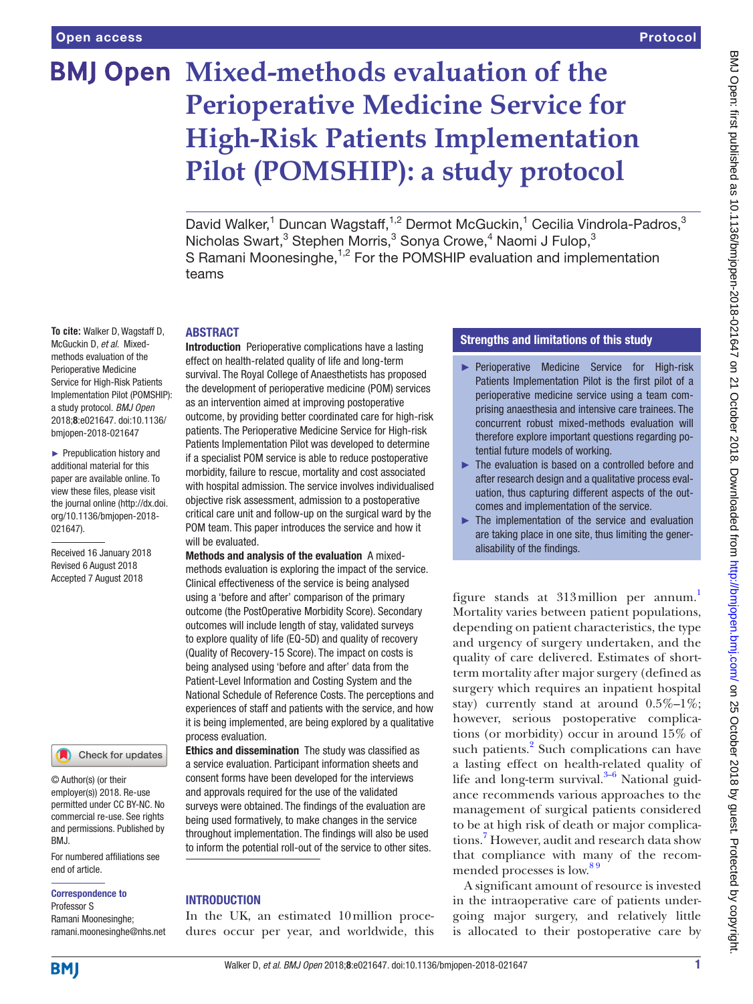# **BMJ Open Mixed-methods evaluation of the Perioperative Medicine Service for High-Risk Patients Implementation Pilot (POMSHIP): a study protocol**

David Walker,<sup>1</sup> Duncan Wagstaff,<sup>1,2</sup> Dermot McGuckin,<sup>1</sup> Cecilia Vindrola-Padros,<sup>3</sup> Nicholas Swart,<sup>3</sup> Stephen Morris,<sup>3</sup> Sonya Crowe,<sup>4</sup> Naomi J Fulop,<sup>3</sup> S Ramani Moonesinghe,<sup>1,2</sup> For the POMSHIP evaluation and implementation teams

#### **ABSTRACT**

**To cite:** Walker D, Wagstaff D, McGuckin D, *et al*. Mixedmethods evaluation of the Perioperative Medicine Service for High-Risk Patients Implementation Pilot (POMSHIP): a study protocol. *BMJ Open* 2018;8:e021647. doi:10.1136/ bmjopen-2018-021647

► Prepublication history and additional material for this paper are available online. To view these files, please visit the journal online [\(http://dx.doi.](http://dx.doi.org/10.1136/bmjopen-2018-021647) [org/10.1136/bmjopen-2018-](http://dx.doi.org/10.1136/bmjopen-2018-021647) [021647\)](http://dx.doi.org/10.1136/bmjopen-2018-021647).

Received 16 January 2018 Revised 6 August 2018 Accepted 7 August 2018

Check for updates

© Author(s) (or their employer(s)) 2018. Re-use permitted under CC BY-NC. No commercial re-use. See rights and permissions. Published by BMJ.

For numbered affiliations see end of article.

#### Correspondence to

Professor S Ramani Moonesinghe; ramani.moonesinghe@nhs.net

Introduction Perioperative complications have a lasting effect on health-related quality of life and long-term survival. The Royal College of Anaesthetists has proposed the development of perioperative medicine (POM) services as an intervention aimed at improving postoperative outcome, by providing better coordinated care for high-risk patients. The Perioperative Medicine Service for High-risk Patients Implementation Pilot was developed to determine if a specialist POM service is able to reduce postoperative morbidity, failure to rescue, mortality and cost associated with hospital admission. The service involves individualised objective risk assessment, admission to a postoperative critical care unit and follow-up on the surgical ward by the POM team. This paper introduces the service and how it will be evaluated.

Methods and analysis of the evaluation A mixedmethods evaluation is exploring the impact of the service. Clinical effectiveness of the service is being analysed using a 'before and after' comparison of the primary outcome (the PostOperative Morbidity Score). Secondary outcomes will include length of stay, validated surveys to explore quality of life (EQ-5D) and quality of recovery (Quality of Recovery-15 Score). The impact on costs is being analysed using 'before and after' data from the Patient-Level Information and Costing System and the National Schedule of Reference Costs. The perceptions and experiences of staff and patients with the service, and how it is being implemented, are being explored by a qualitative process evaluation.

Ethics and dissemination The study was classified as a service evaluation. Participant information sheets and consent forms have been developed for the interviews and approvals required for the use of the validated surveys were obtained. The findings of the evaluation are being used formatively, to make changes in the service throughout implementation. The findings will also be used to inform the potential roll-out of the service to other sites.

# **INTRODUCTION**

In the UK, an estimated 10million procedures occur per year, and worldwide, this

# Strengths and limitations of this study

- ► Perioperative Medicine Service for High-risk Patients Implementation Pilot is the first pilot of a perioperative medicine service using a team comprising anaesthesia and intensive care trainees. The concurrent robust mixed-methods evaluation will therefore explore important questions regarding potential future models of working.
- ► The evaluation is based on a controlled before and after research design and a qualitative process evaluation, thus capturing different aspects of the outcomes and implementation of the service.
- ► The implementation of the service and evaluation are taking place in one site, thus limiting the generalisability of the findings.

figure stands at 313million per annum[.1](#page-6-0) Mortality varies between patient populations, depending on patient characteristics, the type and urgency of surgery undertaken, and the quality of care delivered. Estimates of shortterm mortality after major surgery (defined as surgery which requires an inpatient hospital stay) currently stand at around  $0.5\%$ -1%; however, serious postoperative complications (or morbidity) occur in around 15% of such patients.<sup>[2](#page-6-1)</sup> Such complications can have a lasting effect on health-related quality of life and long-term survival. $3-6$  National guidance recommends various approaches to the management of surgical patients considered to be at high risk of death or major complications.[7](#page-7-0) However, audit and research data show that compliance with many of the recommended processes is low.<sup>89</sup>

A significant amount of resource is invested in the intraoperative care of patients undergoing major surgery, and relatively little is allocated to their postoperative care by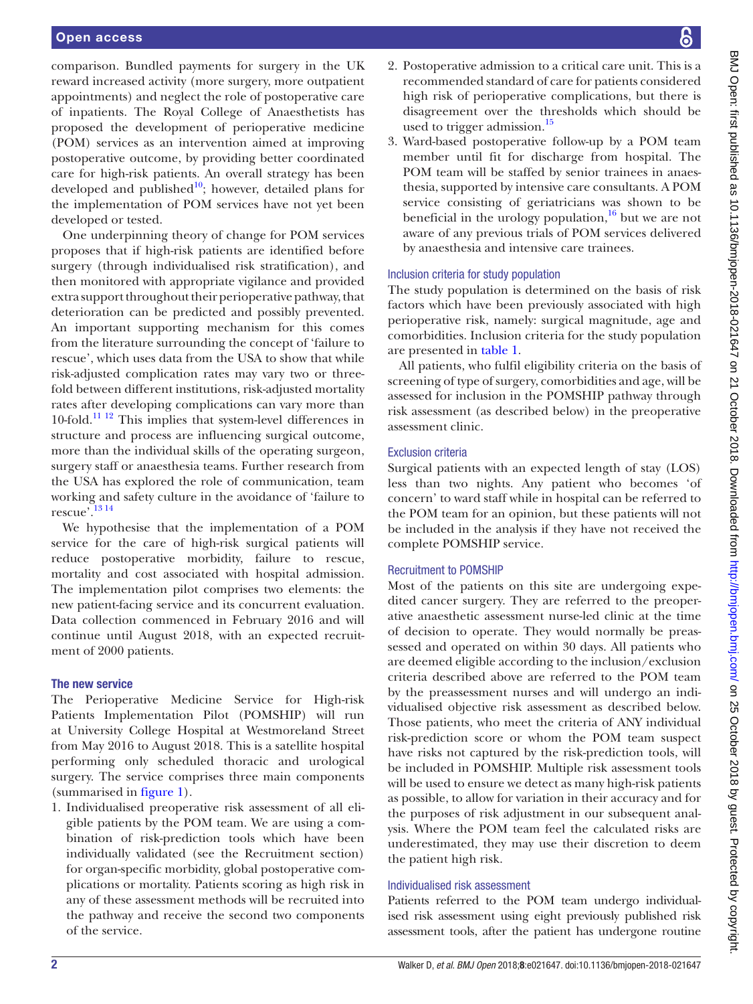comparison. Bundled payments for surgery in the UK reward increased activity (more surgery, more outpatient appointments) and neglect the role of postoperative care of inpatients. The Royal College of Anaesthetists has proposed the development of perioperative medicine (POM) services as an intervention aimed at improving postoperative outcome, by providing better coordinated care for high-risk patients. An overall strategy has been developed and published $10$ ; however, detailed plans for the implementation of POM services have not yet been developed or tested.

One underpinning theory of change for POM services proposes that if high-risk patients are identified before surgery (through individualised risk stratification), and then monitored with appropriate vigilance and provided extra support throughout their perioperative pathway, that deterioration can be predicted and possibly prevented. An important supporting mechanism for this comes from the literature surrounding the concept of 'failure to rescue', which uses data from the USA to show that while risk-adjusted complication rates may vary two or threefold between different institutions, risk-adjusted mortality rates after developing complications can vary more than 10-fold.[11 12](#page-7-3) This implies that system-level differences in structure and process are influencing surgical outcome, more than the individual skills of the operating surgeon, surgery staff or anaesthesia teams. Further research from the USA has explored the role of communication, team working and safety culture in the avoidance of 'failure to rescue'.[13 14](#page-7-4)

We hypothesise that the implementation of a POM service for the care of high-risk surgical patients will reduce postoperative morbidity, failure to rescue, mortality and cost associated with hospital admission. The implementation pilot comprises two elements: the new patient-facing service and its concurrent evaluation. Data collection commenced in February 2016 and will continue until August 2018, with an expected recruitment of 2000 patients.

# The new service

The Perioperative Medicine Service for High-risk Patients Implementation Pilot (POMSHIP) will run at University College Hospital at Westmoreland Street from May 2016 to August 2018. This is a satellite hospital performing only scheduled thoracic and urological surgery. The service comprises three main components (summarised in [figure](#page-2-0) 1).

1. Individualised preoperative risk assessment of all eligible patients by the POM team. We are using a combination of risk-prediction tools which have been individually validated (see the Recruitment section) for organ-specific morbidity, global postoperative complications or mortality. Patients scoring as high risk in any of these assessment methods will be recruited into the pathway and receive the second two components of the service.

- 2. Postoperative admission to a critical care unit. This is a recommended standard of care for patients considered high risk of perioperative complications, but there is disagreement over the thresholds which should be used to trigger admission.<sup>15</sup>
- 3. Ward-based postoperative follow-up by a POM team member until fit for discharge from hospital. The POM team will be staffed by senior trainees in anaesthesia, supported by intensive care consultants. A POM service consisting of geriatricians was shown to be beneficial in the urology population, $16$  but we are not aware of any previous trials of POM services delivered by anaesthesia and intensive care trainees.

#### Inclusion criteria for study population

The study population is determined on the basis of risk factors which have been previously associated with high perioperative risk, namely: surgical magnitude, age and comorbidities. Inclusion criteria for the study population are presented in [table](#page-2-1) 1.

All patients, who fulfil eligibility criteria on the basis of screening of type of surgery, comorbidities and age, will be assessed for inclusion in the POMSHIP pathway through risk assessment (as described below) in the preoperative assessment clinic.

## Exclusion criteria

Surgical patients with an expected length of stay (LOS) less than two nights. Any patient who becomes 'of concern' to ward staff while in hospital can be referred to the POM team for an opinion, but these patients will not be included in the analysis if they have not received the complete POMSHIP service.

# Recruitment to POMSHIP

Most of the patients on this site are undergoing expedited cancer surgery. They are referred to the preoperative anaesthetic assessment nurse-led clinic at the time of decision to operate. They would normally be preassessed and operated on within 30 days. All patients who are deemed eligible according to the inclusion/exclusion criteria described above are referred to the POM team by the preassessment nurses and will undergo an individualised objective risk assessment as described below. Those patients, who meet the criteria of ANY individual risk-prediction score or whom the POM team suspect have risks not captured by the risk-prediction tools, will be included in POMSHIP. Multiple risk assessment tools will be used to ensure we detect as many high-risk patients as possible, to allow for variation in their accuracy and for the purposes of risk adjustment in our subsequent analysis. Where the POM team feel the calculated risks are underestimated, they may use their discretion to deem the patient high risk.

# Individualised risk assessment

Patients referred to the POM team undergo individualised risk assessment using eight previously published risk assessment tools, after the patient has undergone routine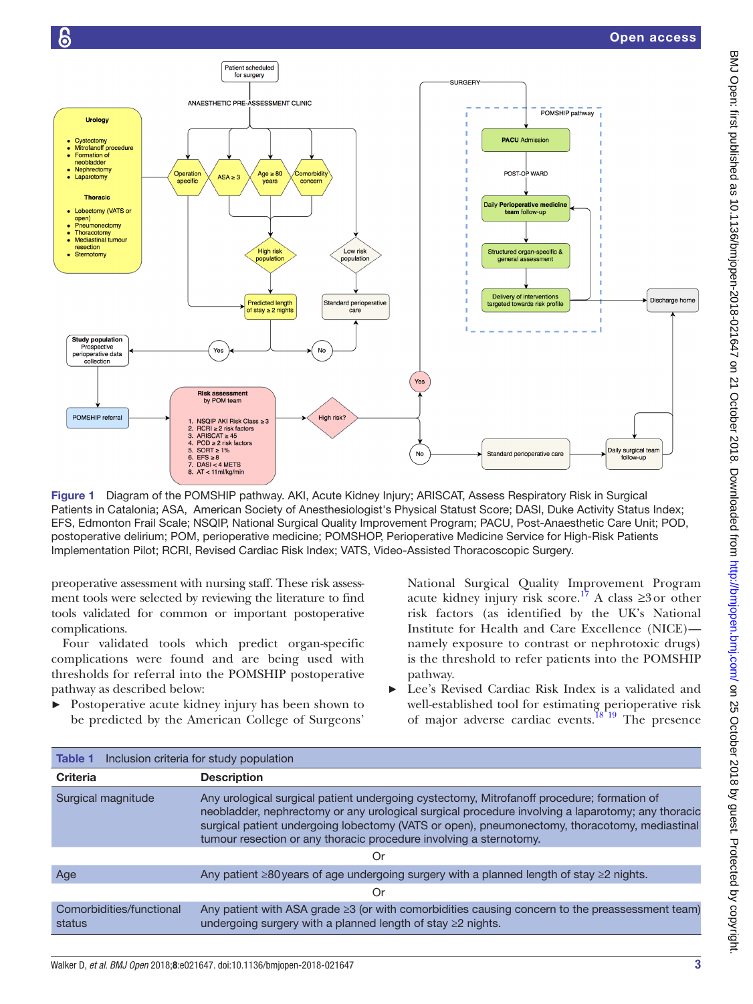

<span id="page-2-0"></span>Figure 1 Diagram of the POMSHIP pathway. AKI, Acute Kidney Injury; ARISCAT, Assess Respiratory Risk in Surgical Patients in Catalonia; ASA, American Society of Anesthesiologist's Physical Statust Score; DASI, Duke Activity Status Index; EFS, Edmonton Frail Scale; NSQIP, National Surgical Quality Improvement Program; PACU, Post-Anaesthetic Care Unit; POD, postoperative delirium; POM, perioperative medicine; POMSHOP, Perioperative Medicine Service for High-Risk Patients Implementation Pilot; RCRI, Revised Cardiac Risk Index; VATS, Video-Assisted Thoracoscopic Surgery.

preoperative assessment with nursing staff. These risk assessment tools were selected by reviewing the literature to find tools validated for common or important postoperative complications.

Four validated tools which predict organ-specific complications were found and are being used with thresholds for referral into the POMSHIP postoperative pathway as described below:

► Postoperative acute kidney injury has been shown to be predicted by the American College of Surgeons'

National Surgical Quality Improvement Program acute kidney injury risk score.<sup>[17](#page-7-7)</sup> A class ≥3 or other risk factors (as identified by the UK's National Institute for Health and Care Excellence (NICE) namely exposure to contrast or nephrotoxic drugs) is the threshold to refer patients into the POMSHIP pathway.

Lee's Revised Cardiac Risk Index is a validated and well-established tool for estimating perioperative risk of major adverse cardiac events.<sup>18'19</sup> The presence

<span id="page-2-1"></span>

| Inclusion criteria for study population<br><b>Table 1</b> |                                                                                                                                                                                                                                                                                                                                                                        |
|-----------------------------------------------------------|------------------------------------------------------------------------------------------------------------------------------------------------------------------------------------------------------------------------------------------------------------------------------------------------------------------------------------------------------------------------|
| <b>Criteria</b>                                           | <b>Description</b>                                                                                                                                                                                                                                                                                                                                                     |
| Surgical magnitude                                        | Any urological surgical patient undergoing cystectomy, Mitrofanoff procedure; formation of<br>neobladder, nephrectomy or any urological surgical procedure involving a laparotomy; any thoracic<br>surgical patient undergoing lobectomy (VATS or open), pneumonectomy, thoracotomy, mediastinal<br>tumour resection or any thoracic procedure involving a sternotomy. |
| Ör                                                        |                                                                                                                                                                                                                                                                                                                                                                        |
| Age                                                       | Any patient $\geq 80$ years of age undergoing surgery with a planned length of stay $\geq 2$ nights.                                                                                                                                                                                                                                                                   |
| Or                                                        |                                                                                                                                                                                                                                                                                                                                                                        |
| Comorbidities/functional<br>status                        | Any patient with ASA grade ≥3 (or with comorbidities causing concern to the preassessment team)<br>undergoing surgery with a planned length of stay ≥2 nights.                                                                                                                                                                                                         |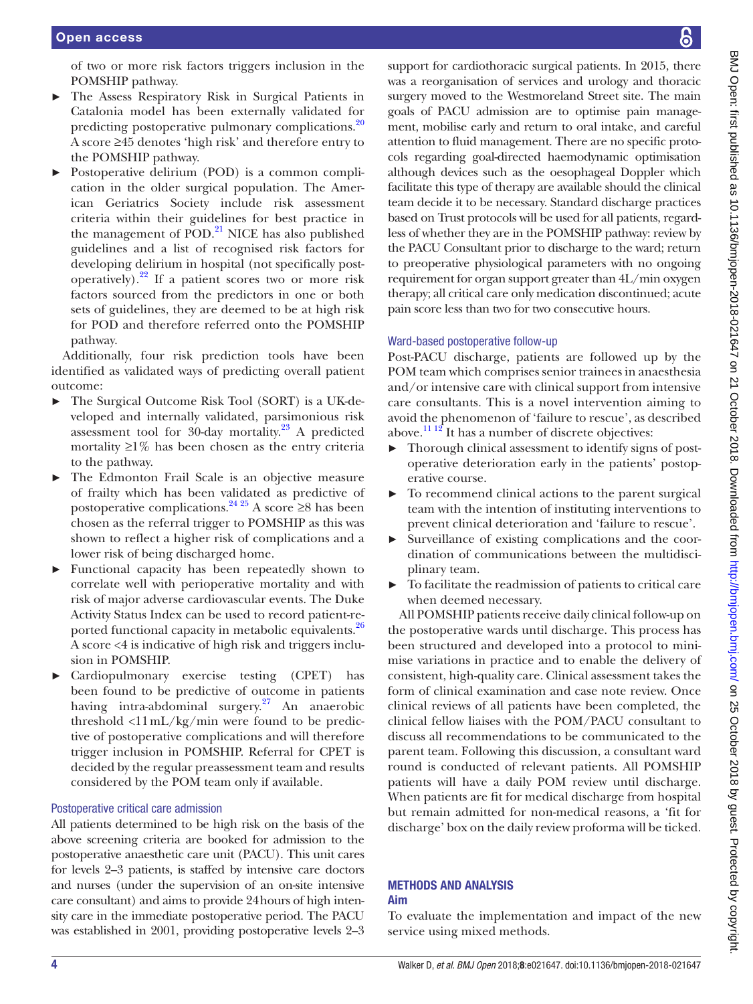of two or more risk factors triggers inclusion in the POMSHIP pathway.

- ► The Assess Respiratory Risk in Surgical Patients in Catalonia model has been externally validated for predicting postoperative pulmonary complications.<sup>20</sup> A score ≥45 denotes 'high risk' and therefore entry to the POMSHIP pathway.
- Postoperative delirium (POD) is a common complication in the older surgical population. The American Geriatrics Society include risk assessment criteria within their guidelines for best practice in the management of POD.<sup>21</sup> NICE has also published guidelines and a list of recognised risk factors for developing delirium in hospital (not specifically postoperatively). $^{22}$  If a patient scores two or more risk factors sourced from the predictors in one or both sets of guidelines, they are deemed to be at high risk for POD and therefore referred onto the POMSHIP pathway.

Additionally, four risk prediction tools have been identified as validated ways of predicting overall patient outcome:

- ► The Surgical Outcome Risk Tool (SORT) is a UK-developed and internally validated, parsimonious risk assessment tool for 30-day mortality. $23$  A predicted mortality  $\geq$ 1% has been chosen as the entry criteria to the pathway.
- The Edmonton Frail Scale is an objective measure of frailty which has been validated as predictive of postoperative complications.<sup>24 25</sup> A score ≥8 has been chosen as the referral trigger to POMSHIP as this was shown to reflect a higher risk of complications and a lower risk of being discharged home.
- ► Functional capacity has been repeatedly shown to correlate well with perioperative mortality and with risk of major adverse cardiovascular events. The Duke Activity Status Index can be used to record patient-reported functional capacity in metabolic equivalents.<sup>26</sup> A score <4 is indicative of high risk and triggers inclusion in POMSHIP.
- ► Cardiopulmonary exercise testing (CPET) has been found to be predictive of outcome in patients having intra-abdominal surgery[.27](#page-7-15) An anaerobic threshold <11mL/kg/min were found to be predictive of postoperative complications and will therefore trigger inclusion in POMSHIP. Referral for CPET is decided by the regular preassessment team and results considered by the POM team only if available.

# Postoperative critical care admission

All patients determined to be high risk on the basis of the above screening criteria are booked for admission to the postoperative anaesthetic care unit (PACU). This unit cares for levels 2–3 patients, is staffed by intensive care doctors and nurses (under the supervision of an on-site intensive care consultant) and aims to provide 24hours of high intensity care in the immediate postoperative period. The PACU was established in 2001, providing postoperative levels 2–3

support for cardiothoracic surgical patients. In 2015, there was a reorganisation of services and urology and thoracic surgery moved to the Westmoreland Street site. The main goals of PACU admission are to optimise pain management, mobilise early and return to oral intake, and careful attention to fluid management. There are no specific protocols regarding goal-directed haemodynamic optimisation although devices such as the oesophageal Doppler which facilitate this type of therapy are available should the clinical team decide it to be necessary. Standard discharge practices based on Trust protocols will be used for all patients, regardless of whether they are in the POMSHIP pathway: review by the PACU Consultant prior to discharge to the ward; return to preoperative physiological parameters with no ongoing requirement for organ support greater than 4L/min oxygen therapy; all critical care only medication discontinued; acute pain score less than two for two consecutive hours.

# Ward-based postoperative follow-up

Post-PACU discharge, patients are followed up by the POM team which comprises senior trainees in anaesthesia and/or intensive care with clinical support from intensive care consultants. This is a novel intervention aiming to avoid the phenomenon of 'failure to rescue', as described above. $11^{12}$  It has a number of discrete objectives:

- ► Thorough clinical assessment to identify signs of postoperative deterioration early in the patients' postoperative course.
- ► To recommend clinical actions to the parent surgical team with the intention of instituting interventions to prevent clinical deterioration and 'failure to rescue'.
- ► Surveillance of existing complications and the coordination of communications between the multidisciplinary team.
- To facilitate the readmission of patients to critical care when deemed necessary.

All POMSHIP patients receive daily clinical follow-up on the postoperative wards until discharge. This process has been structured and developed into a protocol to minimise variations in practice and to enable the delivery of consistent, high-quality care. Clinical assessment takes the form of clinical examination and case note review. Once clinical reviews of all patients have been completed, the clinical fellow liaises with the POM/PACU consultant to discuss all recommendations to be communicated to the parent team. Following this discussion, a consultant ward round is conducted of relevant patients. All POMSHIP patients will have a daily POM review until discharge. When patients are fit for medical discharge from hospital but remain admitted for non-medical reasons, a 'fit for discharge' box on the daily review proforma will be ticked.

# Methods and analysis

# Aim

To evaluate the implementation and impact of the new service using mixed methods.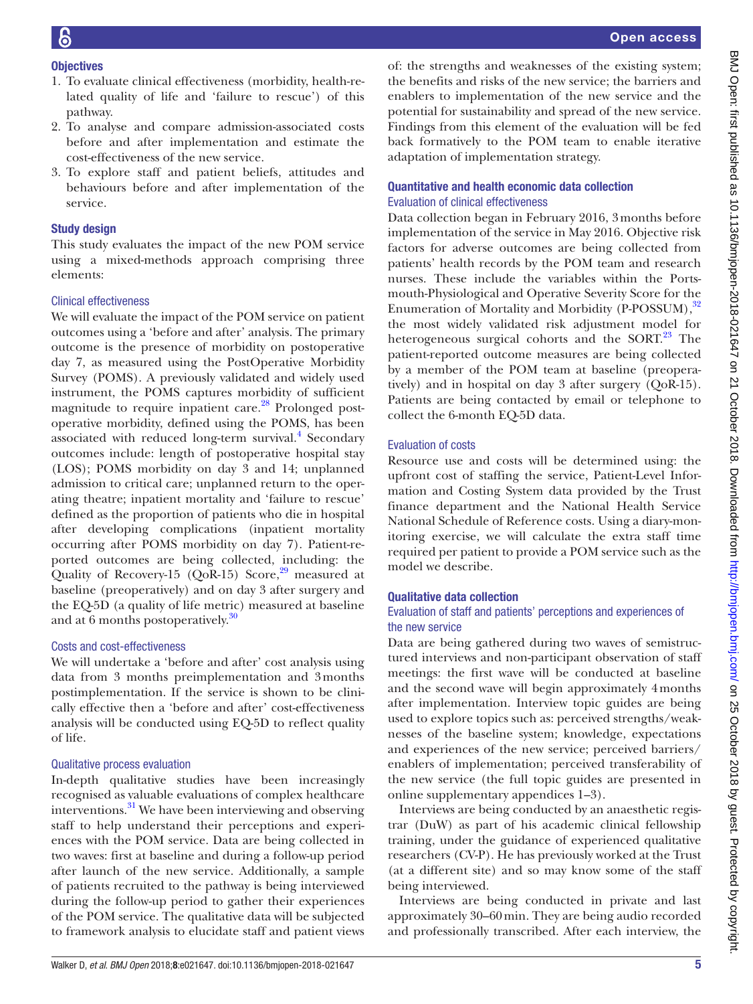# **Objectives**

- 1. To evaluate clinical effectiveness (morbidity, health-related quality of life and 'failure to rescue') of this pathway.
- 2. To analyse and compare admission-associated costs before and after implementation and estimate the cost-effectiveness of the new service.
- 3. To explore staff and patient beliefs, attitudes and behaviours before and after implementation of the service.

# Study design

This study evaluates the impact of the new POM service using a mixed-methods approach comprising three elements:

# Clinical effectiveness

We will evaluate the impact of the POM service on patient outcomes using a 'before and after' analysis. The primary outcome is the presence of morbidity on postoperative day 7, as measured using the PostOperative Morbidity Survey (POMS). A previously validated and widely used instrument, the POMS captures morbidity of sufficient magnitude to require inpatient care.<sup>28</sup> Prolonged postoperative morbidity, defined using the POMS, has been associated with reduced long-term survival.<sup>[4](#page-7-17)</sup> Secondary outcomes include: length of postoperative hospital stay (LOS); POMS morbidity on day 3 and 14; unplanned admission to critical care; unplanned return to the operating theatre; inpatient mortality and 'failure to rescue' defined as the proportion of patients who die in hospital after developing complications (inpatient mortality occurring after POMS morbidity on day 7). Patient-reported outcomes are being collected, including: the Quality of Recovery-15 (QoR-15) Score, $29$  measured at baseline (preoperatively) and on day 3 after surgery and the EQ-5D (a quality of life metric) measured at baseline and at 6 months postoperatively.<sup>30</sup>

# Costs and cost-effectiveness

We will undertake a 'before and after' cost analysis using data from 3 months preimplementation and 3months postimplementation. If the service is shown to be clinically effective then a 'before and after' cost-effectiveness analysis will be conducted using EQ-5D to reflect quality of life.

# Qualitative process evaluation

In-depth qualitative studies have been increasingly recognised as valuable evaluations of complex healthcare interventions.<sup>31</sup> We have been interviewing and observing staff to help understand their perceptions and experiences with the POM service. Data are being collected in two waves: first at baseline and during a follow-up period after launch of the new service. Additionally, a sample of patients recruited to the pathway is being interviewed during the follow-up period to gather their experiences of the POM service. The qualitative data will be subjected to framework analysis to elucidate staff and patient views

of: the strengths and weaknesses of the existing system; the benefits and risks of the new service; the barriers and enablers to implementation of the new service and the potential for sustainability and spread of the new service. Findings from this element of the evaluation will be fed back formatively to the POM team to enable iterative adaptation of implementation strategy.

# Quantitative and health economic data collection Evaluation of clinical effectiveness

Data collection began in February 2016, 3months before implementation of the service in May 2016. Objective risk factors for adverse outcomes are being collected from patients' health records by the POM team and research nurses. These include the variables within the Portsmouth-Physiological and Operative Severity Score for the Enumeration of Mortality and Morbidity (P-POSSUM),<sup>[32](#page-7-21)</sup> the most widely validated risk adjustment model for heterogeneous surgical cohorts and the SORT.<sup>23</sup> The patient-reported outcome measures are being collected by a member of the POM team at baseline (preoperatively) and in hospital on day 3 after surgery (QoR-15). Patients are being contacted by email or telephone to collect the 6-month EQ-5D data.

# Evaluation of costs

Resource use and costs will be determined using: the upfront cost of staffing the service, Patient-Level Information and Costing System data provided by the Trust finance department and the National Health Service National Schedule of Reference costs. Using a diary-monitoring exercise, we will calculate the extra staff time required per patient to provide a POM service such as the model we describe.

# Qualitative data collection

# Evaluation of staff and patients' perceptions and experiences of the new service

Data are being gathered during two waves of semistructured interviews and non-participant observation of staff meetings: the first wave will be conducted at baseline and the second wave will begin approximately 4months after implementation. Interview topic guides are being used to explore topics such as: perceived strengths/weaknesses of the baseline system; knowledge, expectations and experiences of the new service; perceived barriers/ enablers of implementation; perceived transferability of the new service (the full topic guides are presented in online [supplementary appendices 1–3](https://dx.doi.org/10.1136/bmjopen-2018-021647)).

Interviews are being conducted by an anaesthetic registrar (DuW) as part of his academic clinical fellowship training, under the guidance of experienced qualitative researchers (CV-P). He has previously worked at the Trust (at a different site) and so may know some of the staff being interviewed.

Interviews are being conducted in private and last approximately 30–60min. They are being audio recorded and professionally transcribed. After each interview, the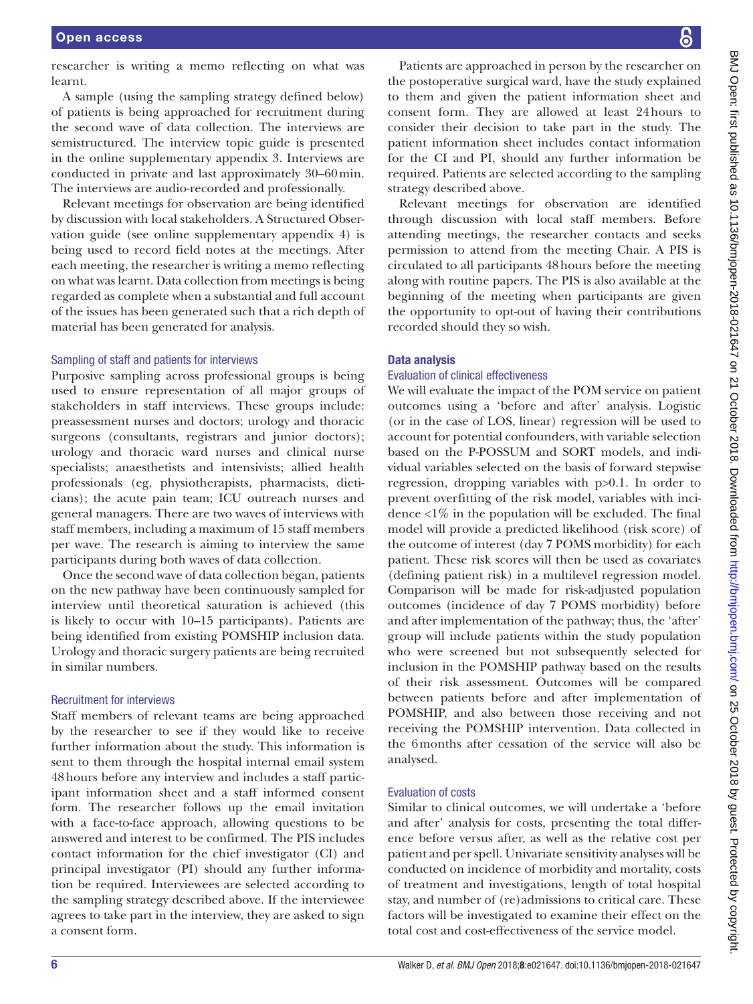researcher is writing a memo reflecting on what was learnt.

A sample (using the sampling strategy defined below) of patients is being approached for recruitment during the second wave of data collection. The interviews are semistructured. The interview topic guide is presented in the online [supplementary appendix 3.](https://dx.doi.org/10.1136/bmjopen-2018-021647) Interviews are conducted in private and last approximately 30–60min. The interviews are audio-recorded and professionally.

Relevant meetings for observation are being identified by discussion with local stakeholders. A Structured Observation guide (see online [supplementary appendix 4\)](https://dx.doi.org/10.1136/bmjopen-2018-021647) is being used to record field notes at the meetings. After each meeting, the researcher is writing a memo reflecting on what was learnt. Data collection from meetings is being regarded as complete when a substantial and full account of the issues has been generated such that a rich depth of material has been generated for analysis.

#### Sampling of staff and patients for interviews

Purposive sampling across professional groups is being used to ensure representation of all major groups of stakeholders in staff interviews. These groups include: preassessment nurses and doctors; urology and thoracic surgeons (consultants, registrars and junior doctors); urology and thoracic ward nurses and clinical nurse specialists; anaesthetists and intensivists; allied health professionals (eg, physiotherapists, pharmacists, dieticians); the acute pain team; ICU outreach nurses and general managers. There are two waves of interviews with staff members, including a maximum of 15 staff members per wave. The research is aiming to interview the same participants during both waves of data collection.

Once the second wave of data collection began, patients on the new pathway have been continuously sampled for interview until theoretical saturation is achieved (this is likely to occur with 10–15 participants). Patients are being identified from existing POMSHIP inclusion data. Urology and thoracic surgery patients are being recruited in similar numbers.

# Recruitment for interviews

Staff members of relevant teams are being approached by the researcher to see if they would like to receive further information about the study. This information is sent to them through the hospital internal email system 48hours before any interview and includes a staff participant information sheet and a staff informed consent form. The researcher follows up the email invitation with a face-to-face approach, allowing questions to be answered and interest to be confirmed. The PIS includes contact information for the chief investigator (CI) and principal investigator (PI) should any further information be required. Interviewees are selected according to the sampling strategy described above. If the interviewee agrees to take part in the interview, they are asked to sign a consent form.

Patients are approached in person by the researcher on the postoperative surgical ward, have the study explained to them and given the patient information sheet and consent form. They are allowed at least 24hours to consider their decision to take part in the study. The patient information sheet includes contact information for the CI and PI, should any further information be required. Patients are selected according to the sampling strategy described above.

Relevant meetings for observation are identified through discussion with local staff members. Before attending meetings, the researcher contacts and seeks permission to attend from the meeting Chair. A PIS is circulated to all participants 48hours before the meeting along with routine papers. The PIS is also available at the beginning of the meeting when participants are given the opportunity to opt-out of having their contributions recorded should they so wish.

#### Data analysis

#### Evaluation of clinical effectiveness

We will evaluate the impact of the POM service on patient outcomes using a 'before and after' analysis. Logistic (or in the case of LOS, linear) regression will be used to account for potential confounders, with variable selection based on the P-POSSUM and SORT models, and individual variables selected on the basis of forward stepwise regression, dropping variables with p>0.1. In order to prevent overfitting of the risk model, variables with incidence  $\langle 1\%$  in the population will be excluded. The final model will provide a predicted likelihood (risk score) of the outcome of interest (day 7 POMS morbidity) for each patient. These risk scores will then be used as covariates (defining patient risk) in a multilevel regression model. Comparison will be made for risk-adjusted population outcomes (incidence of day 7 POMS morbidity) before and after implementation of the pathway; thus, the 'after' group will include patients within the study population who were screened but not subsequently selected for inclusion in the POMSHIP pathway based on the results of their risk assessment. Outcomes will be compared between patients before and after implementation of POMSHIP, and also between those receiving and not receiving the POMSHIP intervention. Data collected in the 6months after cessation of the service will also be analysed.

#### Evaluation of costs

Similar to clinical outcomes, we will undertake a 'before and after' analysis for costs, presenting the total difference before versus after, as well as the relative cost per patient and per spell. Univariate sensitivity analyses will be conducted on incidence of morbidity and mortality, costs of treatment and investigations, length of total hospital stay, and number of (re)admissions to critical care. These factors will be investigated to examine their effect on the total cost and cost-effectiveness of the service model.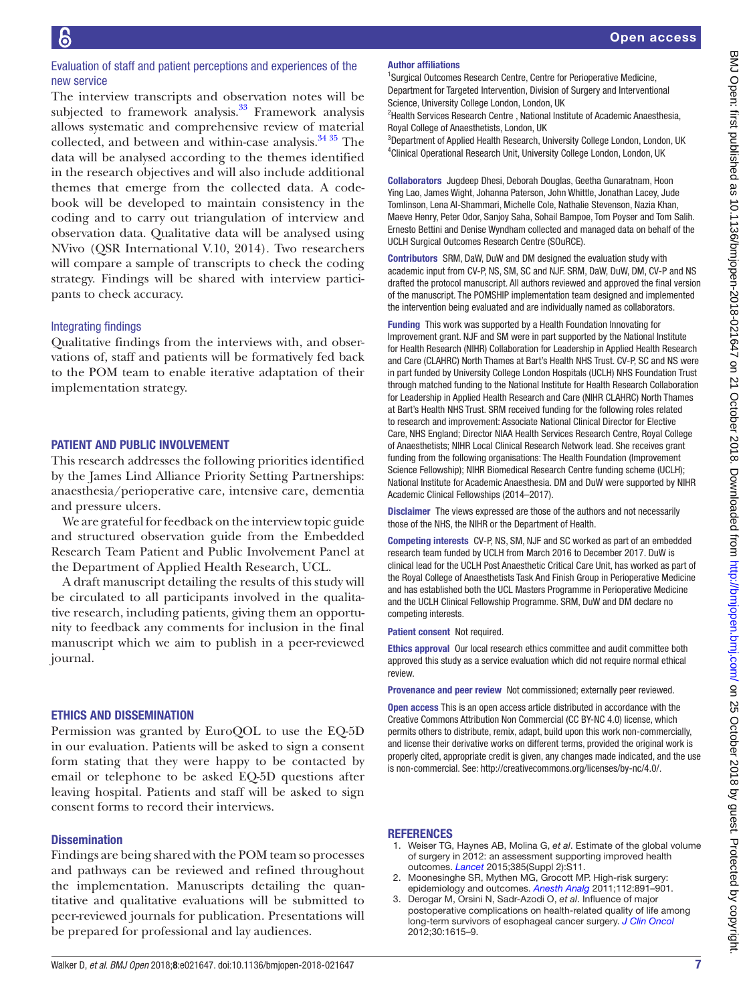# Evaluation of staff and patient perceptions and experiences of the new service

The interview transcripts and observation notes will be subjected to framework analysis.<sup>33</sup> Framework analysis allows systematic and comprehensive review of material collected, and between and within-case analysis.<sup>34 35</sup> The data will be analysed according to the themes identified in the research objectives and will also include additional themes that emerge from the collected data. A codebook will be developed to maintain consistency in the coding and to carry out triangulation of interview and observation data. Qualitative data will be analysed using NVivo (QSR International V.10, 2014). Two researchers will compare a sample of transcripts to check the coding strategy. Findings will be shared with interview participants to check accuracy.

# Integrating findings

Qualitative findings from the interviews with, and observations of, staff and patients will be formatively fed back to the POM team to enable iterative adaptation of their implementation strategy.

# Patient and public involvement

This research addresses the following priorities identified by the James Lind Alliance Priority Setting Partnerships: anaesthesia/perioperative care, intensive care, dementia and pressure ulcers.

We are grateful for feedback on the interview topic guide and structured observation guide from the Embedded Research Team Patient and Public Involvement Panel at the Department of Applied Health Research, UCL.

A draft manuscript detailing the results of this study will be circulated to all participants involved in the qualitative research, including patients, giving them an opportunity to feedback any comments for inclusion in the final manuscript which we aim to publish in a peer-reviewed journal.

# Ethics and dissemination

Permission was granted by EuroQOL to use the EQ-5D in our evaluation. Patients will be asked to sign a consent form stating that they were happy to be contacted by email or telephone to be asked EQ-5D questions after leaving hospital. Patients and staff will be asked to sign consent forms to record their interviews.

## **Dissemination**

Findings are being shared with the POM team so processes and pathways can be reviewed and refined throughout the implementation. Manuscripts detailing the quantitative and qualitative evaluations will be submitted to peer-reviewed journals for publication. Presentations will be prepared for professional and lay audiences.

# Author affiliations

<sup>1</sup>Surgical Outcomes Research Centre, Centre for Perioperative Medicine, Department for Targeted Intervention, Division of Surgery and Interventional Science, University College London, London, UK

<sup>2</sup>Health Services Research Centre, National Institute of Academic Anaesthesia, Royal College of Anaesthetists, London, UK

<sup>3</sup>Department of Applied Health Research, University College London, London, UK 4 Clinical Operational Research Unit, University College London, London, UK

Collaborators Jugdeep Dhesi, Deborah Douglas, Geetha Gunaratnam, Hoon Ying Lao, James Wight, Johanna Paterson, John Whittle, Jonathan Lacey, Jude Tomlinson, Lena Al-Shammari, Michelle Cole, Nathalie Stevenson, Nazia Khan, Maeve Henry, Peter Odor, Sanjoy Saha, Sohail Bampoe, Tom Poyser and Tom Salih. Ernesto Bettini and Denise Wyndham collected and managed data on behalf of the UCLH Surgical Outcomes Research Centre (SOuRCE).

Contributors SRM, DaW, DuW and DM designed the evaluation study with academic input from CV-P, NS, SM, SC and NJF. SRM, DaW, DuW, DM, CV-P and NS drafted the protocol manuscript. All authors reviewed and approved the final version of the manuscript. The POMSHIP implementation team designed and implemented the intervention being evaluated and are individually named as collaborators.

Funding This work was supported by a Health Foundation Innovating for Improvement grant. NJF and SM were in part supported by the National Institute for Health Research (NIHR) Collaboration for Leadership in Applied Health Research and Care (CLAHRC) North Thames at Bart's Health NHS Trust. CV-P, SC and NS were in part funded by University College London Hospitals (UCLH) NHS Foundation Trust through matched funding to the National Institute for Health Research Collaboration for Leadership in Applied Health Research and Care (NIHR CLAHRC) North Thames at Bart's Health NHS Trust. SRM received funding for the following roles related to research and improvement: Associate National Clinical Director for Elective Care, NHS England; Director NIAA Health Services Research Centre, Royal College of Anaesthetists; NIHR Local Clinical Research Network lead. She receives grant funding from the following organisations: The Health Foundation (Improvement Science Fellowship); NIHR Biomedical Research Centre funding scheme (UCLH); National Institute for Academic Anaesthesia. DM and DuW were supported by NIHR Academic Clinical Fellowships (2014–2017).

Disclaimer The views expressed are those of the authors and not necessarily those of the NHS, the NIHR or the Department of Health.

Competing interests CV-P, NS, SM, NJF and SC worked as part of an embedded research team funded by UCLH from March 2016 to December 2017. DuW is clinical lead for the UCLH Post Anaesthetic Critical Care Unit, has worked as part of the Royal College of Anaesthetists Task And Finish Group in Perioperative Medicine and has established both the UCL Masters Programme in Perioperative Medicine and the UCLH Clinical Fellowship Programme. SRM, DuW and DM declare no competing interests.

Patient consent Not required.

Ethics approval Our local research ethics committee and audit committee both approved this study as a service evaluation which did not require normal ethical review.

Provenance and peer review Not commissioned; externally peer reviewed.

Open access This is an open access article distributed in accordance with the Creative Commons Attribution Non Commercial (CC BY-NC 4.0) license, which permits others to distribute, remix, adapt, build upon this work non-commercially, and license their derivative works on different terms, provided the original work is properly cited, appropriate credit is given, any changes made indicated, and the use is non-commercial. See: [http://creativecommons.org/licenses/by-nc/4.0/.](http://creativecommons.org/licenses/by-nc/4.0/)

## **REFERENCES**

- <span id="page-6-0"></span>1. Weiser TG, Haynes AB, Molina G, *et al*. Estimate of the global volume of surgery in 2012: an assessment supporting improved health outcomes. *[Lancet](http://dx.doi.org/10.1016/S0140-6736(15)60806-6)* 2015;385(Suppl 2):S11.
- <span id="page-6-1"></span>2. Moonesinghe SR, Mythen MG, Grocott MP. High-risk surgery: epidemiology and outcomes. *[Anesth Analg](http://dx.doi.org/10.1213/ANE.0b013e3181e1655b)* 2011;112:891–901.
- <span id="page-6-2"></span>3. Derogar M, Orsini N, Sadr-Azodi O, *et al*. Influence of major postoperative complications on health-related quality of life among long-term survivors of esophageal cancer surgery. *[J Clin Oncol](http://dx.doi.org/10.1200/JCO.2011.40.3568)* 2012;30:1615–9.